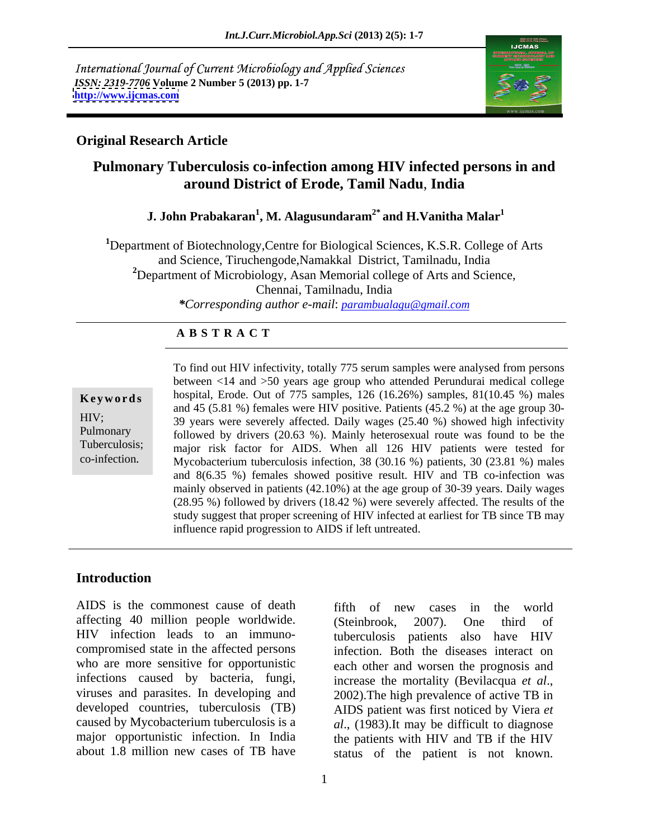International Journal of Current Microbiology and Applied Sciences *ISSN: 2319-7706* **Volume 2 Number 5 (2013) pp. 1-7 <http://www.ijcmas.com>**



### **Original Research Article**

## **Pulmonary Tuberculosis co-infection among HIV infected persons in and around District of Erode, Tamil Nadu**, **India**

### **J. John Prabakaran<sup>1</sup> , M. Alagusundaram2\* and H.Vanitha Malar<sup>1</sup>**

**<sup>1</sup>**Department of Biotechnology,Centre for Biological Sciences, K.S.R. College of Arts and Science, Tiruchengode,Namakkal District, Tamilnadu, India <sup>2</sup>Department of Microbiology, Asan Memorial college of Arts and Science, Chennai, Tamilnadu, India *\*Corresponding author e-mail*: *parambualagu@gmail.com*

### **A B S T R A C T**

 $\mu$  mainly observed in patients (42.10%) at the age group of 30-39 years. Daily wages **Keywords** hospital, Erode. Out of 775 samples, 126 (16.26%) samples, 81(10.45 %) males HIV; 39 years were severely affected. Daily wages (25.40 %) showed high infectivity Pulmonary followed by drivers (20.63 %). Mainly heterosexual route was found to be the Tuberculosis; major risk factor for AIDS. When all 126 HIV patients were tested for To find out HIV infectivity, totally 775 serum samples were analysed from persons<br>
between <14 and >50 years age group who attended Perundurai medical college<br>
hospital, Erode. Out of 775 samples, 126 (16.26%) samples, 81( between <14 and >50 years age group who attended Perundurai medical college and 45 (5.81 %) females were HIV positive. Patients (45.2 %) at the age group 30- Mycobacterium tuberculosis infection, 38 (30.16 %) patients, 30 (23.81 %) males and 8(6.35 %) females showed positive result. HIV and TB co-infection was (28.95 %) followed by drivers (18.42 %) were severely affected. The results of the study suggest that proper screening of HIV infected at earliest for TB since TB may influence rapid progression to AIDS if left untreated.

### **Introduction**

AIDS is the commonest cause of death affecting 40 million people worldwide. (Steinbrook, 2007). One third of HIV infection leads to an immuno-<br>tuberculosis patients also have HIV compromised state in the affected persons who are more sensitive for opportunistic each other and worsen the prognosis and infections caused by bacteria, fungi, increase the mortality (Bevilacqua et al., viruses and parasites. In developing and 2002). The high prevalence of active TB in developed countries, tuberculosis (TB) AIDS patient was first noticed by Viera *et*  caused by Mycobacterium tuberculosis is a *al*., (1983).It may be difficult to diagnose major opportunistic infection. In India

about 1.8 million new cases of TB have status of the patient is not known. fifth of new cases in the world (Steinbrook, 2007). One third of tuberculosis patients also have HIV infection. Both the diseases interact on increase the mortality (Bevilacqua *et al*., 2002).The high prevalence of active TB in the patients with HIV and TB if the HIV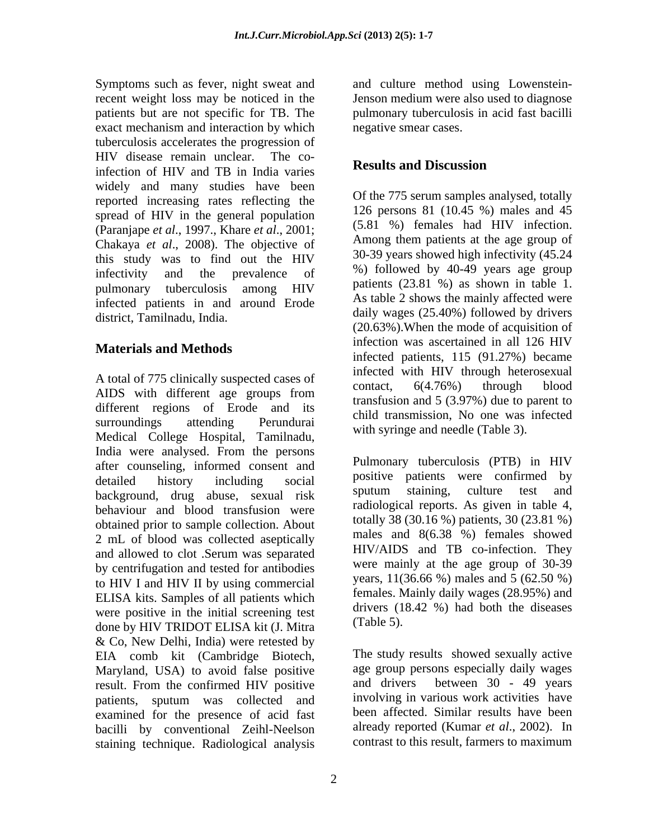Symptoms such as fever, night sweat and recent weight loss may be noticed in the patients but are not specific for TB. The pulmonary tuberculosis in acid fast bacilli exact mechanism and interaction by which tuberculosis accelerates the progression of HIV disease remain unclear. The coinfection of HIV and TB in India varies<br>Results and Discussion widely and many studies have been reported increasing rates reflecting the spread of HIV in the general population (Paranjape *et al.*, 1997., Khare *et al.*, 2001;<br>Chalcaus *et al.*, 2008). The objective of Among them patients at the age group of Chakaya *et al*., 2008). The objective of this study was to find out the HIV pulmonary tuberculosis among HIV infected patients in and around Erode district, Tamilnadu, India.

A total of 775 clinically suspected cases of the contact. 6(4.76%) through blood AIDS with different age groups from  $\frac{\text{concat}}{\text{transfer}}$  or  $\frac{1}{2}$  (2.07%) due to perent to different regions of Erode and its surroundings attending Perundurai and the manufactured was included Medical College Hospital, Tamilnadu, India were analysed. From the persons after counseling, informed consent and background, drug abuse, sexual risk sputum staining, culture test and behaviour and blood transfusion were obtained prior to sample collection. About 2 mL of blood was collected aseptically by centrifugation and tested for antibodies to HIV I and HIV II by using commercial ELISA kits. Samples of all patients which were positive in the initial screening test direction of  $\frac{d}{dx}$  (Table 5). done by HIV TRIDOT ELISA kit (J. Mitra & Co, New Delhi, India) were retested by EIA comb kit (Cambridge Biotech, Maryland, USA) to avoid false positive age group persons especially daily wages<br>result From the confirmed HIV positive and drivers between 30 - 49 vears result. From the confirmed HIV positive patients, sputum was collected and examined for the presence of acid fast bacilli by conventional Zeihl-Neelson staining technique. Radiological analysis

and culture method using Lowenstein- Jenson medium were also used to diagnose negative smear cases.

### **Results and Discussion**

infectivity and the prevalence of  $\frac{\%}{\%}$  interval by 40-49 years age group **Materials and Methods infection** was assertanced in an 120 TH v<br>infected patients, 115 (91.27%) became Of the 775 serum samples analysed, totally 126 persons 81 (10.45 %) males and 45 (5.81 %) females had HIV infection. Among them patients at the age group of 30-39 years showed high infectivity (45.24 %) followed by 40-49 years age group patients (23.81 %) as shown in table 1. As table 2 shows the mainly affected were daily wages (25.40%) followed by drivers (20.63%).When the mode of acquisition of infection was ascertained in all 126 HIV infected with HIV through heterosexual contact, 6(4.76%) through blood transfusion and 5 (3.97%) due to parent to child transmission, No onewas infected with syringe and needle (Table 3).

detailed history including social <sup>positive</sup> patients were confirmed by and allowed to clot .Serum was separated  $HIV/ALDS$  and  $IB$  co-infection. They Pulmonary tuberculosis (PTB) in HIV positive patients were confirmed by sputum staining, culture test and radiological reports. As given in table 4, totally 38 (30.16 %) patients, 30 (23.81 %) males and 8(6.38 %) females showed HIV/AIDS and TB co-infection. They were mainly at the age group of 30-39 years, 11(36.66 %) males and 5 (62.50 %) females. Mainly daily wages (28.95%) and drivers (18.42 %) had both the diseases (Table 5).

> The study results showed sexually active age group persons especially daily wages and drivers between 30 - 49 years involving in various work activities have been affected. Similar results have been already reported (Kumar *et al*., 2002). In contrast to this result, farmers to maximum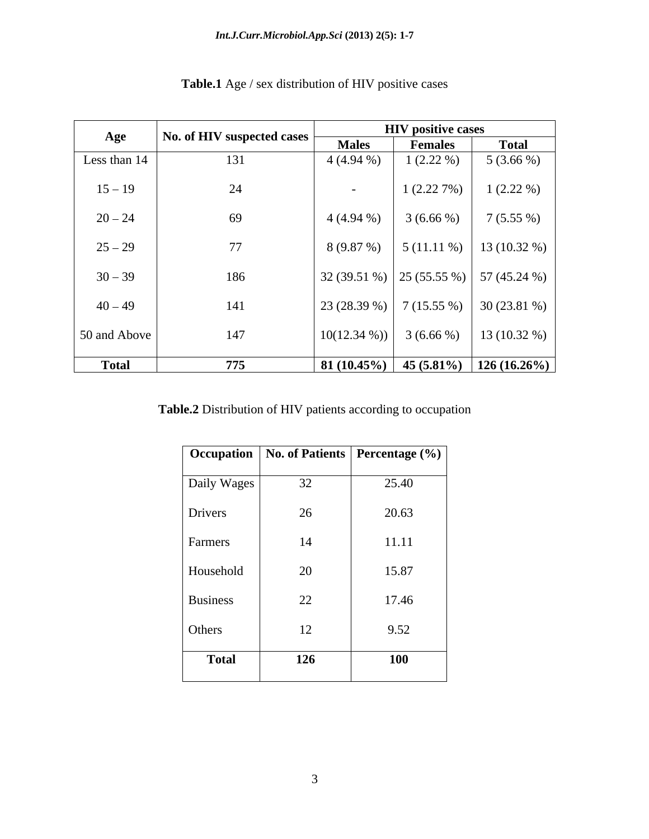| Age          | No. of HIV suspected cases | <b>HIV</b> positive cases |                            |                |
|--------------|----------------------------|---------------------------|----------------------------|----------------|
|              |                            | <b>Males</b>              | <b>Females</b>             | <b>Total</b>   |
| Less than 14 | 131                        | $4(4.94\%)$               | $1(2.22\%)$                | $5(3.66\%)$    |
| $15 - 19$    | 24                         | $\overline{\phantom{0}}$  | 1(2.227%)                  | $1(2.22\%)$    |
| $20 - 24$    | 69                         | $4(4.94\%)$               | 3(6.66%)                   | 7(5.55%)       |
| $25 - 29$    | 77                         | 8(9.87%)                  | $5(11.11\%)$               | $13(10.32\%)$  |
| $30 - 39$    | 186                        |                           | $32(39.51\%)$ 25 (55.55 %) | 57 (45.24 %)   |
| $40 - 49$    | 141                        | 23 (28.39 %)              | 7(15.55%)                  | $30(23.81\%)$  |
| 50 and Above | 147                        | $10(12.34\%)$             | $3(6.66\%)$                | $13(10.32\%)$  |
| <b>Total</b> | 775                        | $81(10.45\%)$             | $45(5.81\%)$               | $126(16.26\%)$ |

# **Table.1** Age / sex distribution of HIV positive cases

**Table.2** Distribution of HIV patients according to occupation

|     | Occupation   No. of Patients   Percentage (%) |
|-----|-----------------------------------------------|
| 32  | 25.40                                         |
| 26  | 20.63                                         |
| 14  | 11.11                                         |
| 20  | 15.87                                         |
| 22  | 17.46                                         |
| 12  | 9.52                                          |
| 126 | <b>100</b>                                    |
|     | Daily Wages                                   |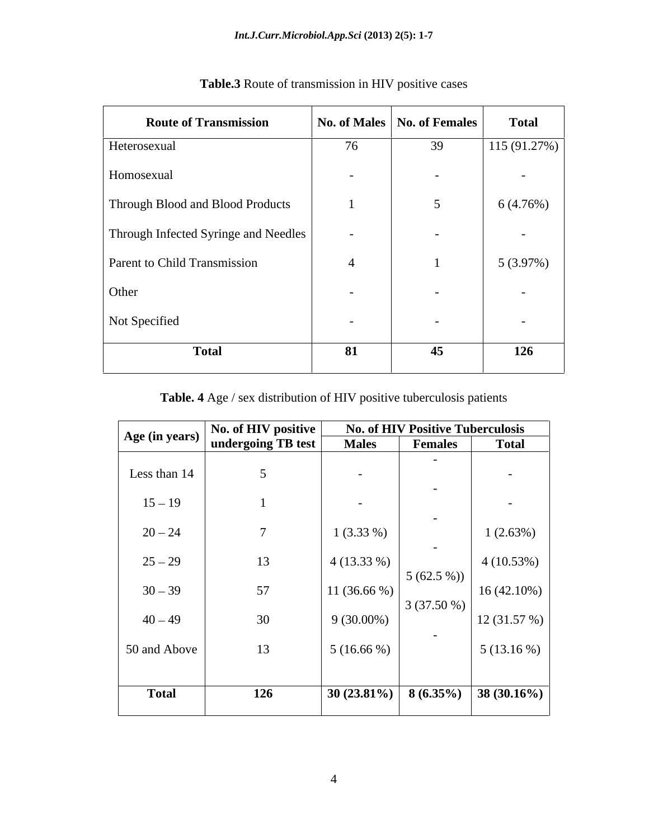| <b>Route of Transmission</b>         |                          | No. of Males   No. of Females | <b>Total</b> |
|--------------------------------------|--------------------------|-------------------------------|--------------|
| Heterosexual                         | 76                       | 39                            | 115(91.27%)  |
| Homosexual                           | $\overline{\phantom{0}}$ | $\sim$                        | $\sim$       |
| Through Blood and Blood Products     |                          | 5                             | 6 (4.76%)    |
| Through Infected Syringe and Needles | $\sim$                   | $\overline{\phantom{0}}$      | $\sim$       |
| <b>Parent to Child Transmission</b>  | $\overline{4}$           |                               | $5(3.97\%)$  |
| Other                                | $\overline{\phantom{0}}$ | $\overline{\phantom{0}}$      | $\sim$       |
| Not Specified                        | $\overline{\phantom{0}}$ | $\overline{\phantom{0}}$      | $\sim$       |
| <b>Total</b>                         | 81                       | 45                            | 126          |

| <b>3</b> Route of transmission in HIV $\mu$<br>1`able.3 | $-250$<br>positive<br>$\mathbf{v}$ uvv |  |  |  |
|---------------------------------------------------------|----------------------------------------|--|--|--|
|---------------------------------------------------------|----------------------------------------|--|--|--|

# **Table. 4** Age / sex distribution of HIV positive tuberculosis patients

| Age (in years) | No. of HIV positive | <b>No. of HIV Positive Tuberculosis</b> |                                       |                          |  |
|----------------|---------------------|-----------------------------------------|---------------------------------------|--------------------------|--|
|                | undergoing TB test  | <b>Males</b>                            | <b>Females</b>                        | <b>Total</b>             |  |
| Less than 14   | 5                   | $\overline{\phantom{0}}$                | $\sim$<br>$\overline{\phantom{0}}$    | $\overline{\phantom{0}}$ |  |
| $15 - 19$      |                     | $\overline{\phantom{0}}$                |                                       | $\overline{\phantom{0}}$ |  |
| $20 - 24$      | $\overline{7}$      | $1(3.33\%)$                             | $\overline{\phantom{0}}$              | $1(2.63\%)$              |  |
| $25 - 29$      | 13                  | $4(13.33\%)$                            | $\sim$<br>$5(62.5\%)$<br>$3(37.50\%)$ | 4(10.53%)                |  |
| $30 - 39$      | 57                  | 11 $(36.66\%)$                          |                                       | $16(42.10\%)$            |  |
| $40 - 49$      | 30                  | $9(30.00\%)$                            |                                       | 12(31.57%)               |  |
| 50 and Above   | 13                  | $5(16.66\%)$                            | $\sim$                                | $5(13.16\%)$             |  |
| <b>Total</b>   | 126                 | $30(23.81\%)$                           | $8(6.35\%)$                           | 38 (30.16%)              |  |
|                |                     |                                         |                                       |                          |  |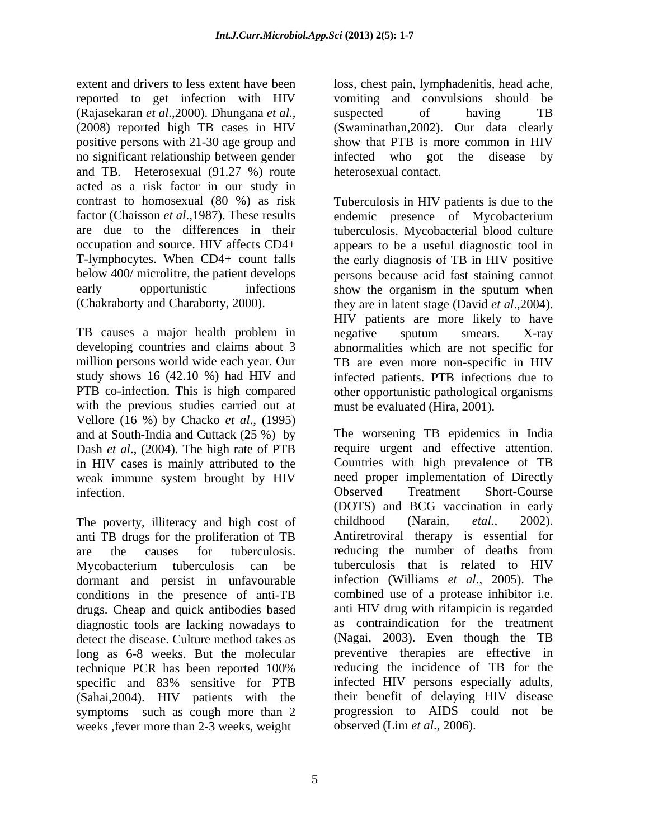extent and drivers to less extent have been loss, chest pain, lymphadenitis, head ache, reported to get infection with HIV vomiting and convulsions should be (Rajasekaran *et al*.,2000). Dhungana *et al*., (2008) reported high TB cases in HIV positive persons with 21-30 age group and show that PTB is more common in HIV no significant relationship between gender infected who got the disease by and TB. Heterosexual (91.27 %) route acted as a risk factor in our study in contrast to homosexual (80 %) as risk

TB causes a major health problem in the negative sputum smears. X-ray with the previous studies carried out at Vellore (16 %) by Chacko *et al*., (1995) and at South-India and Cuttack (25 %) by Dash *et al*., (2004). The high rate of PTB in HIV cases is mainly attributed to the weak immune system brought by HIV

The poverty, illiteracy and high cost of childhood (Narain, *etal.*, 2002). anti TB drugs for the proliferation of TB are the causes for tuberculosis. dormant and persist in unfavourable drugs. Cheap and quick antibodies based diagnostic tools are lacking nowadays to detect the disease. Culture method takes as (Sahai,2004). HIV patients with the weeks ,fever more than 2-3 weeks, weight

suspected of having TB (Swaminathan,2002). Our data clearly show that PTB is more common in HIV infected who got the disease by heterosexual contact.

factor (Chaisson *et al.*, 1987). These results endemic presence of Mycobacterium are due to the differences in their tuberculosis. Mycobacterial blood culture occupation and source. HIV affects CD4+ appears to be a useful diagnostic tool in T-lymphocytes. When CD4+ count falls the early diagnosis of TB in HIV positive below 400/ microlitre, the patient develops persons because acid fast staining cannot early opportunistic infections show the organism in the sputum when (Chakraborty and Charaborty, 2000). they are in latent stage (David *et al*.,2004). developing countries and claims about 3 abnormalities which are not specific for million persons world wide each year. Our TB are even more non-specific in HIV study shows 16 (42.10 %) had HIV and infected patients. PTB infections due to PTB co-infection. This is high compared other opportunistic pathological organisms Tuberculosis in HIV patients is due to the HIV patients are more likely to have negative sputum smears. X-ray must be evaluated (Hira, 2001).

infection. Conserved Treatment Short-Course Mycobacterium tuberculosis can be conditions in the presence of anti-TB combined use of a protease inhibitor i.e. long as 6-8 weeks. But the molecular preventive therapies are effective in technique PCR has been reported 100% specific and 83% sensitive for PTB infected HIV persons especially adults, symptoms such as cough more than 2 progression to AIDS could not be The worsening TB epidemics in India require urgent and effective attention. Countries with high prevalence of TB need proper implementation of Directly Observed Treatment Short-Course (DOTS) and BCG vaccination in early childhood (Narain, *etal.,* 2002). Antiretroviral therapy is essential for reducing the number of deaths from tuberculosis that is related to HIV infection (Williams *et al*., 2005). The anti HIV drug with rifampicin is regarded as contraindication for the treatment (Nagai, 2003). Even though the TB reducing the incidence of TB for the infected HIV persons especially adults, their benefit of delaying HIV disease observed (Lim *et al*., 2006).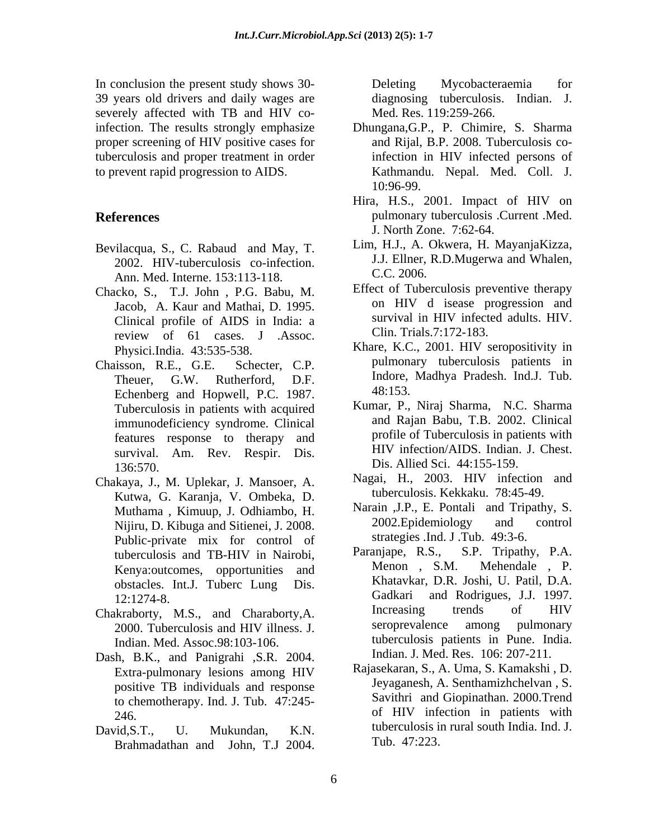In conclusion the present study shows 30- 39 years old drivers and daily wages are severely affected with TB and HIV coproper screening of HIV positive cases for tuberculosis and proper treatment in order

- Bevilacqua, S., C. Rabaud and May, T. 2002. HIV-tuberculosis co-infection. J.J. Ellner,<br>Ann Med Interna 153:113.118 C.C. 2006. Ann. Med. Interne. 153:113-118.
- Chacko, S., T.J. John , P.G. Babu, M. Jacob, A. Kaur and Mathai, D. 1995. Clinical profile of AIDS in India: a review of 61 cases. J .Assoc.
- Echenberg and Hopwell, P.C. 1987. <sup>48:153</sup><br>Tuberculosis in patients with acquired Kumar, P., Niraj Sharma, N.C. Sharma immunodeficiency syndrome. Clinical features response to therapy and survival. Am. Rev. Respir. Dis. 136:570. Dis. Allied Sci. 44:155-159.
- Chakaya, J., M. Uplekar, J. Mansoer, A. Kutwa, G. Karanja, V. Ombeka, D. Nijiru, D. Kibuga and Sitienei, J. 2008. Public-private mix for control of strategies ind.<br>tuberculosis and TR-HIV in Nairobi Paraniape, R.S., Kenya:outcomes, opportunities and obstacles. Int.J. Tuberc Lung Dis. Khatavkar<br>12:1274.8 Gadkari onelation the present study hows 30.<br>
Cheling Mycobactereonia for period video Tayles and HIV to Mean (1923-2023-2026).<br>
Series and HIV to Mean (1924) and HIV to Mean (1924) and HIV infected person of the series and prope
- 2000. Tuberculosis and HIV illness. J. Indian. Med. Assoc.98:103-106.
- Dash, B.K., and Panigrahi ,S.R. 2004. Extra-pulmonary lesions among HIV positive TB individuals and response to chemotherapy. Ind. J. Tub. 47:245-
- 

diagnosing tuberculosis. Indian. J. Med. Res. 119:259-266.

- infection. The results strongly emphasize Dhungana,G.P., P. Chimire, S. Sharma to prevent rapid progression to AIDS. Kathmandu. Nepal. Med. Coll. J. and Rijal, B.P. 2008. Tuberculosis coinfection in HIV infected persons of 10:96-99.
- **References** pulmonary tuberculosis .Current .Med. Hira, H.S., 2001. Impact of HIV on J. North Zone. 7:62-64.
	- Lim, H.J., A. Okwera, H. MayanjaKizza, J.J. Ellner, R.D.Mugerwa and Whalen, C.C. 2006.
	- Effect of Tuberculosis preventive therapy on HIV d isease progression and survival in HIV infected adults. HIV. Clin. Trials.7:172-183.
- Physici.India. 43:535-538. Khare, K.C., 2001. HIV seropositivity in Chaisson, R.E., G.E. Schecter, C.P. pulmonary tuberculosis patients in Theuer, G.W. Rutherford, D.F. Indore, Madhya Pradesh. Ind.J. Tub.<br>Echanhers and Honyell P.C. 1987 48:153. Indore, Madhya Pradesh. Ind.J. Tub. 48:153.
	- Tuberculosis in patients with acquired<br>
	immunodeficiency syndrome Clinical and Rajan Babu, T.B. 2002. Clinical Kumar, P., Niraj Sharma, N.C. Sharma and Rajan Babu, T.B. 2002. Clinical profile of Tuberculosis in patients with HIV infection/AIDS. Indian. J. Chest.
		- Nagai, H., 2003. HIV infection and tuberculosis. Kekkaku. 78:45-49.
	- Muthama , Kimuup, J. Odhiambo, H. Narain , J.P., E. Pontali and Tripathy, S.<br>Nijiru D. Kibuga and Sitienei J. 2008. 2002. Epidemiology and control Narain ,J.P., E. Pontali and Tripathy, S. 2002.Epidemiology and control strategies .Ind. J .Tub. 49:3-6.
- tuberculosis and TB-HIV in Nairobi, Paranjape, R.S., S.P. Tripathy, P.A.<br>Kenya:outcomes opportunities and Menon, S.M. Mehendale, P. 12:1274-8. Gadkari and Rodrigues, J.J. 1997. Chakraborty, M.S., and Charaborty, A. Increasing trends of HIV 2000 Tuberculosis and HIV illness I seroprevalence among pulmonary S.P. Tripathy, P.A. Menon , S.M. Mehendale , P. Khatavkar, D.R. Joshi, U. Patil, D.A. Increasing trends of HIV seroprevalence among pulmonary tuberculosis patients in Pune. India. Indian. J. Med. Res. 106: 207-211.
- 246. of HIV infection in patients with David,S.T., U. Mukundan, K.N. tuberculosis in rural south India. Ind. J. Rajasekaran, S., A. Uma, S. Kamakshi , D. Jeyaganesh, A. Senthamizhchelvan , S. Savithri and Giopinathan. 2000.Trend Tub. 47:223.